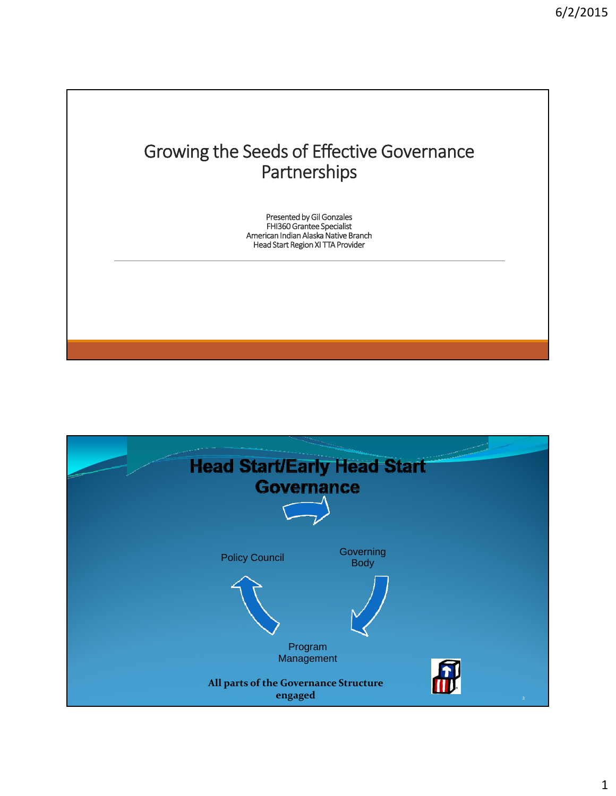## Growing the Seeds of Effective Governance Partnerships

Presented by Gil Gonzales FHI360 Grantee Specialist American Indian Alaska Native Branch Head Start Region XI TTA Provider

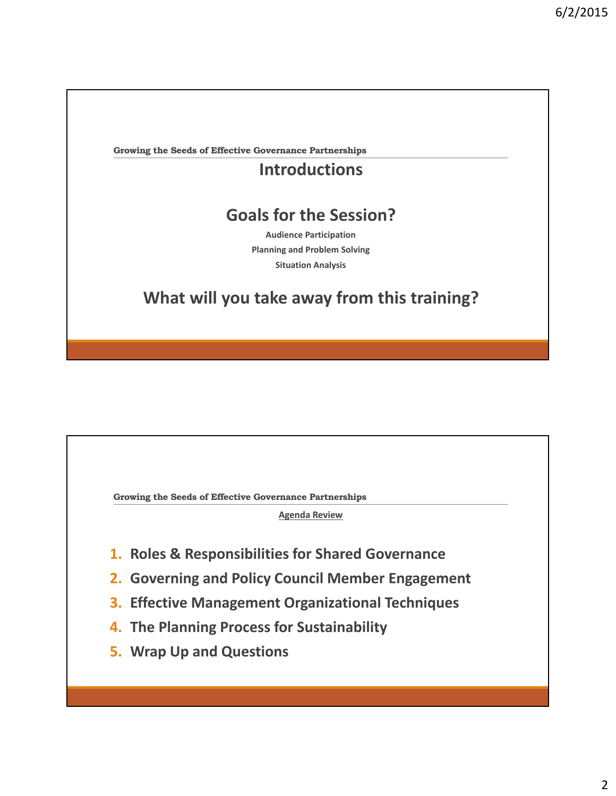**Growing the Seeds of Effective Governance Partnerships**

## **Introductions**

## **Goals for the Session?**

**Audience Participation Planning and Problem Solving Situation Analysis**

## **What will you take away from this training?**

**Growing the Seeds of Effective Governance Partnerships**

**Agenda Review**

- **1. Roles & Responsibilities for Shared Governance**
- **2. Governing and Policy Council Member Engagement**
- **3. Effective Management Organizational Techniques**
- **4. The Planning Process for Sustainability**
- **5. Wrap Up and Questions**